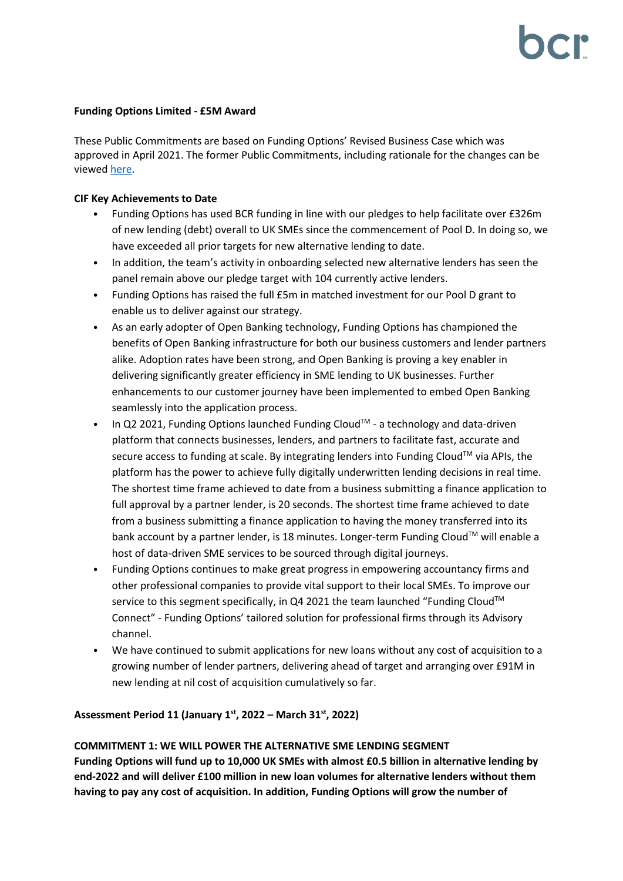### **Funding Options Limited - £5M Award**

These Public Commitments are based on Funding Options' Revised Business Case which was approved in April 2021. The former Public Commitments, including rationale for the changes can be viewe[d here.](https://bcr-ltd.com/wp-content/uploads/2021/05/Funding-Options-Limited_Public-Commitment-Update_Q121v1.0.pdf)

### **CIF Key Achievements to Date**

- Funding Options has used BCR funding in line with our pledges to help facilitate over £326m of new lending (debt) overall to UK SMEs since the commencement of Pool D. In doing so, we have exceeded all prior targets for new alternative lending to date.
- In addition, the team's activity in onboarding selected new alternative lenders has seen the panel remain above our pledge target with 104 currently active lenders.
- Funding Options has raised the full £5m in matched investment for our Pool D grant to enable us to deliver against our strategy.
- As an early adopter of Open Banking technology, Funding Options has championed the benefits of Open Banking infrastructure for both our business customers and lender partners alike. Adoption rates have been strong, and Open Banking is proving a key enabler in delivering significantly greater efficiency in SME lending to UK businesses. Further enhancements to our customer journey have been implemented to embed Open Banking seamlessly into the application process.
- In Q2 2021, Funding Options launched Funding Cloud<sup>TM</sup> a technology and data-driven platform that connects businesses, lenders, and partners to facilitate fast, accurate and secure access to funding at scale. By integrating lenders into Funding Cloud<sup>TM</sup> via APIs, the platform has the power to achieve fully digitally underwritten lending decisions in real time. The shortest time frame achieved to date from a business submitting a finance application to full approval by a partner lender, is 20 seconds. The shortest time frame achieved to date from a business submitting a finance application to having the money transferred into its bank account by a partner lender, is 18 minutes. Longer-term Funding Cloud™ will enable a host of data-driven SME services to be sourced through digital journeys.
- Funding Options continues to make great progress in empowering accountancy firms and other professional companies to provide vital support to their local SMEs. To improve our service to this segment specifically, in Q4 2021 the team launched "Funding Cloud<sup>TM</sup> Connect" - Funding Options' tailored solution for professional firms through its Advisory channel.
- We have continued to submit applications for new loans without any cost of acquisition to a growing number of lender partners, delivering ahead of target and arranging over £91M in new lending at nil cost of acquisition cumulatively so far.

## **Assessment Period 11 (January 1 st, 2022 – March 31 st, 2022)**

## **COMMITMENT 1: WE WILL POWER THE ALTERNATIVE SME LENDING SEGMENT**

**Funding Options will fund up to 10,000 UK SMEs with almost £0.5 billion in alternative lending by end-2022 and will deliver £100 million in new loan volumes for alternative lenders without them having to pay any cost of acquisition. In addition, Funding Options will grow the number of**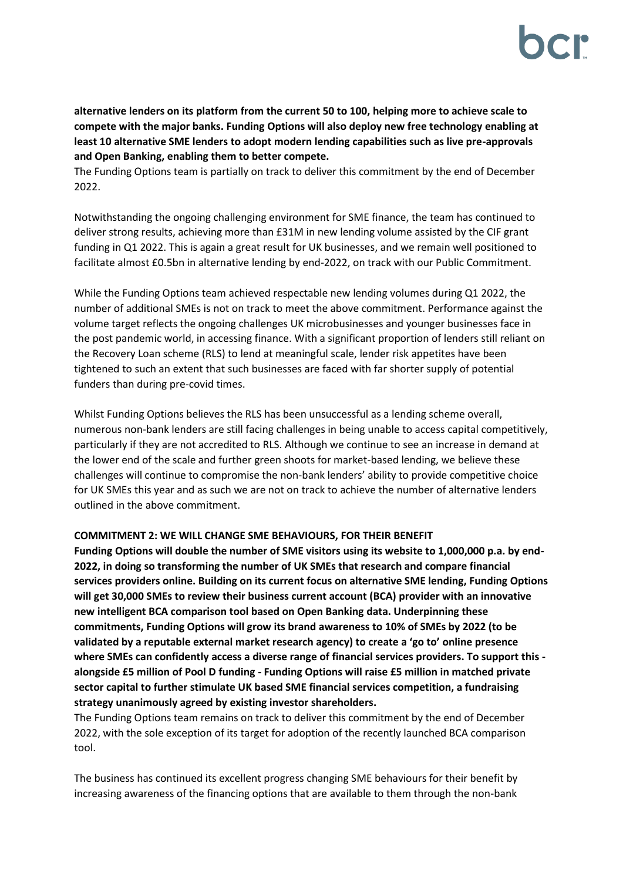**alternative lenders on its platform from the current 50 to 100, helping more to achieve scale to compete with the major banks. Funding Options will also deploy new free technology enabling at least 10 alternative SME lenders to adopt modern lending capabilities such as live pre-approvals and Open Banking, enabling them to better compete.**

The Funding Options team is partially on track to deliver this commitment by the end of December 2022.

Notwithstanding the ongoing challenging environment for SME finance, the team has continued to deliver strong results, achieving more than £31M in new lending volume assisted by the CIF grant funding in Q1 2022. This is again a great result for UK businesses, and we remain well positioned to facilitate almost £0.5bn in alternative lending by end-2022, on track with our Public Commitment.

While the Funding Options team achieved respectable new lending volumes during Q1 2022, the number of additional SMEs is not on track to meet the above commitment. Performance against the volume target reflects the ongoing challenges UK microbusinesses and younger businesses face in the post pandemic world, in accessing finance. With a significant proportion of lenders still reliant on the Recovery Loan scheme (RLS) to lend at meaningful scale, lender risk appetites have been tightened to such an extent that such businesses are faced with far shorter supply of potential funders than during pre-covid times.

Whilst Funding Options believes the RLS has been unsuccessful as a lending scheme overall, numerous non-bank lenders are still facing challenges in being unable to access capital competitively, particularly if they are not accredited to RLS. Although we continue to see an increase in demand at the lower end of the scale and further green shoots for market-based lending, we believe these challenges will continue to compromise the non-bank lenders' ability to provide competitive choice for UK SMEs this year and as such we are not on track to achieve the number of alternative lenders outlined in the above commitment.

## **COMMITMENT 2: WE WILL CHANGE SME BEHAVIOURS, FOR THEIR BENEFIT**

**Funding Options will double the number of SME visitors using its website to 1,000,000 p.a. by end-2022, in doing so transforming the number of UK SMEs that research and compare financial services providers online. Building on its current focus on alternative SME lending, Funding Options will get 30,000 SMEs to review their business current account (BCA) provider with an innovative new intelligent BCA comparison tool based on Open Banking data. Underpinning these commitments, Funding Options will grow its brand awareness to 10% of SMEs by 2022 (to be validated by a reputable external market research agency) to create a 'go to' online presence where SMEs can confidently access a diverse range of financial services providers. To support this alongside £5 million of Pool D funding - Funding Options will raise £5 million in matched private sector capital to further stimulate UK based SME financial services competition, a fundraising strategy unanimously agreed by existing investor shareholders.** 

The Funding Options team remains on track to deliver this commitment by the end of December 2022, with the sole exception of its target for adoption of the recently launched BCA comparison tool.

The business has continued its excellent progress changing SME behaviours for their benefit by increasing awareness of the financing options that are available to them through the non-bank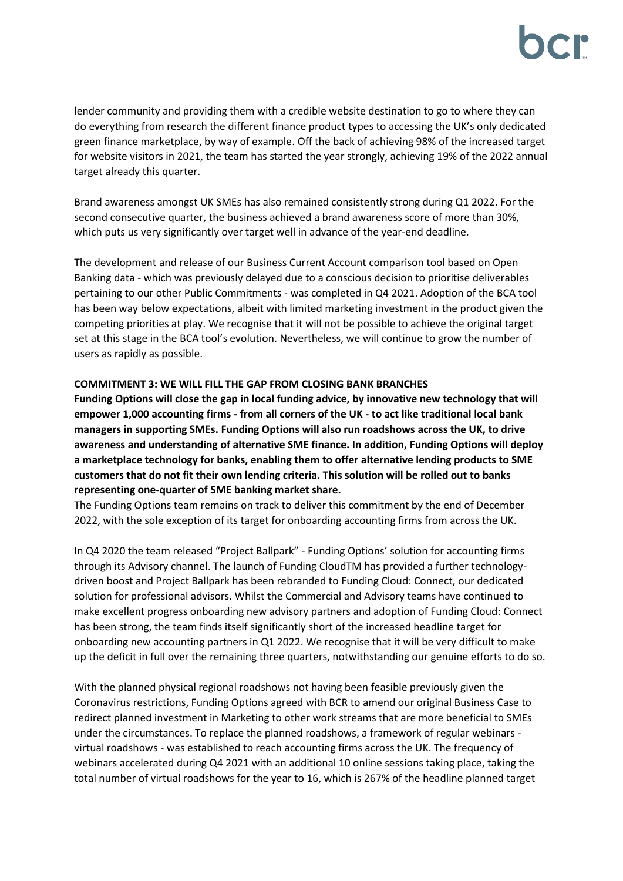lender community and providing them with a credible website destination to go to where they can do everything from research the different finance product types to accessing the UK's only dedicated green finance marketplace, by way of example. Off the back of achieving 98% of the increased target for website visitors in 2021, the team has started the year strongly, achieving 19% of the 2022 annual target already this quarter.

Brand awareness amongst UK SMEs has also remained consistently strong during Q1 2022. For the second consecutive quarter, the business achieved a brand awareness score of more than 30%, which puts us very significantly over target well in advance of the year-end deadline.

The development and release of our Business Current Account comparison tool based on Open Banking data - which was previously delayed due to a conscious decision to prioritise deliverables pertaining to our other Public Commitments - was completed in Q4 2021. Adoption of the BCA tool has been way below expectations, albeit with limited marketing investment in the product given the competing priorities at play. We recognise that it will not be possible to achieve the original target set at this stage in the BCA tool's evolution. Nevertheless, we will continue to grow the number of users as rapidly as possible.

### **COMMITMENT 3: WE WILL FILL THE GAP FROM CLOSING BANK BRANCHES**

**Funding Options will close the gap in local funding advice, by innovative new technology that will empower 1,000 accounting firms - from all corners of the UK - to act like traditional local bank managers in supporting SMEs. Funding Options will also run roadshows across the UK, to drive awareness and understanding of alternative SME finance. In addition, Funding Options will deploy a marketplace technology for banks, enabling them to offer alternative lending products to SME customers that do not fit their own lending criteria. This solution will be rolled out to banks representing one-quarter of SME banking market share.**

The Funding Options team remains on track to deliver this commitment by the end of December 2022, with the sole exception of its target for onboarding accounting firms from across the UK.

In Q4 2020 the team released "Project Ballpark" - Funding Options' solution for accounting firms through its Advisory channel. The launch of Funding CloudTM has provided a further technologydriven boost and Project Ballpark has been rebranded to Funding Cloud: Connect, our dedicated solution for professional advisors. Whilst the Commercial and Advisory teams have continued to make excellent progress onboarding new advisory partners and adoption of Funding Cloud: Connect has been strong, the team finds itself significantly short of the increased headline target for onboarding new accounting partners in Q1 2022. We recognise that it will be very difficult to make up the deficit in full over the remaining three quarters, notwithstanding our genuine efforts to do so.

With the planned physical regional roadshows not having been feasible previously given the Coronavirus restrictions, Funding Options agreed with BCR to amend our original Business Case to redirect planned investment in Marketing to other work streams that are more beneficial to SMEs under the circumstances. To replace the planned roadshows, a framework of regular webinars virtual roadshows - was established to reach accounting firms across the UK. The frequency of webinars accelerated during Q4 2021 with an additional 10 online sessions taking place, taking the total number of virtual roadshows for the year to 16, which is 267% of the headline planned target